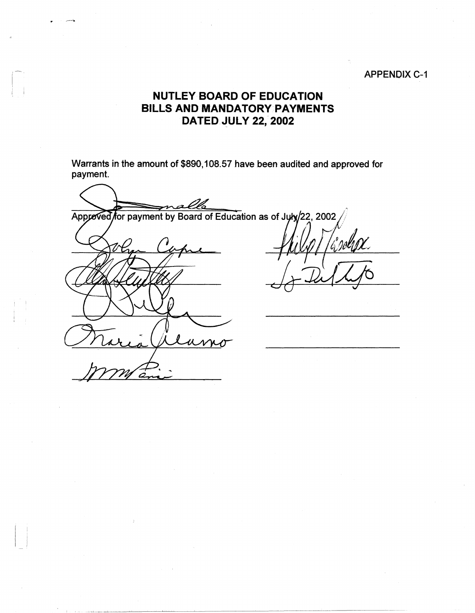## APPENDIX C-1

## **NUTLEY BOARD OF EDUCATION BILLS AND MANDATORY PAYMENTS DATED JULY 22,' 2002**

Warrants in the amount of \$890, 108.57 have been audited and approved for payment.

Approved for payment by Board of Education as of July/22, 2002

I I

---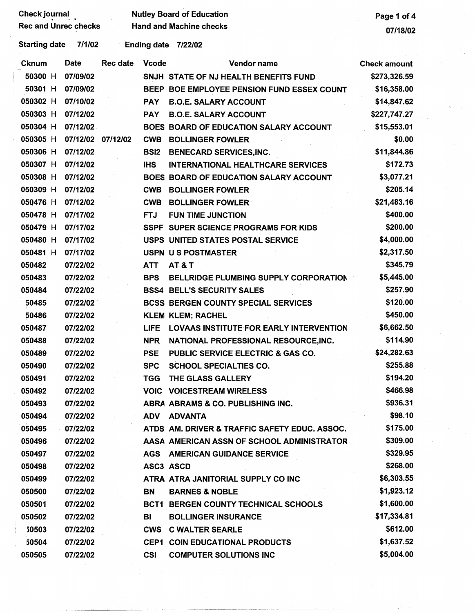|                             | <b>Check journal</b> | <b>Nutley Board of Education</b> | Page 1 of 4     |                    |                                                |                     |
|-----------------------------|----------------------|----------------------------------|-----------------|--------------------|------------------------------------------------|---------------------|
| <b>Rec and Unrec checks</b> |                      |                                  |                 |                    | <b>Hand and Machine checks</b>                 | 07/18/02            |
|                             | <b>Starting date</b> | 7/1/02                           |                 | <b>Ending date</b> | 7/22/02                                        |                     |
|                             | <b>Cknum</b>         | <b>Date</b>                      | <b>Rec date</b> | <b>Vcode</b>       | Vendor name                                    | <b>Check amount</b> |
|                             | 50300 H              | 07/09/02                         |                 |                    | SNJH STATE OF NJ HEALTH BENEFITS FUND          | \$273,326.59        |
|                             | 50301 H              | 07/09/02                         |                 |                    | BEEP BOE EMPLOYEE PENSION FUND ESSEX COUNT     | \$16,358.00         |
|                             | 050302 H             | 07/10/02                         |                 | <b>PAY</b>         | <b>B.O.E. SALARY ACCOUNT</b>                   | \$14,847.62         |
|                             | 050303 H             | 07/12/02                         |                 | <b>PAY</b>         | <b>B.O.E. SALARY ACCOUNT</b>                   | \$227,747.27        |
|                             | 050304 H             | 07/12/02                         |                 |                    | <b>BOES BOARD OF EDUCATION SALARY ACCOUNT</b>  | \$15,553.01         |
|                             | 050305 H             | 07/12/02                         | 07/12/02        |                    | <b>CWB BOLLINGER FOWLER</b>                    | \$0.00              |
|                             | 050306 H             | 07/12/02                         |                 | BSI <sub>2</sub>   | <b>BENECARD SERVICES, INC.</b>                 | \$11,844.86         |
|                             | 050307 H             | 07/12/02                         |                 | <b>IHS</b>         | <b>INTERNATIONAL HEALTHCARE SERVICES</b>       | \$172.73            |
|                             | 050308 H             | 07/12/02                         |                 |                    | <b>BOES BOARD OF EDUCATION SALARY ACCOUNT</b>  | \$3,077.21          |
|                             | 050309 H             | 07/12/02                         |                 | <b>CWB</b>         | <b>BOLLINGER FOWLER</b>                        | \$205.14            |
|                             | 050476 H             | 07/12/02                         |                 | <b>CWB</b>         | <b>BOLLINGER FOWLER</b>                        | \$21,483.16         |
|                             | 050478 H             | 07/17/02                         |                 | FTJ -              | <b>FUN TIME JUNCTION</b>                       | \$400.00            |
|                             | 050479 H             | 07/17/02                         |                 |                    | SSPF SUPER SCIENCE PROGRAMS FOR KIDS           | \$200.00            |
|                             | 050480 H             | 07/17/02                         |                 |                    | USPS UNITED STATES POSTAL SERVICE              | \$4,000.00          |
|                             | 050481 H             | 07/17/02                         |                 |                    | USPN US POSTMASTER                             | \$2,317.50          |
|                             | 050482               | 07/22/02                         |                 | <b>ATT</b>         | <b>AT&amp;T</b>                                | \$345.79            |
|                             | 050483               | 07/22/02                         |                 | <b>BPS</b>         | BELLRIDGE PLUMBING SUPPLY CORPORATION          | \$5,445.00          |
|                             | 050484               | 07/22/02                         |                 |                    | <b>BSS4 BELL'S SECURITY SALES</b>              | \$257.90            |
|                             | 50485                | 07/22/02                         |                 |                    | <b>BCSS BERGEN COUNTY SPECIAL SERVICES</b>     | \$120.00            |
|                             | 50486                | 07/22/02                         |                 |                    | <b>KLEM KLEM; RACHEL</b>                       | \$450.00            |
|                             | 050487               | 07/22/02                         |                 | <b>LIFE</b>        | <b>LOVAAS INSTITUTE FOR EARLY INTERVENTION</b> | \$6,662.50          |
|                             | 050488               | 07/22/02                         |                 | <b>NPR</b>         | NATIONAL PROFESSIONAL RESOURCE, INC.           | \$114.90            |
|                             | 050489               | 07/22/02                         |                 | <b>PSE</b>         | PUBLIC SERVICE ELECTRIC & GAS CO.              | \$24,282.63         |
|                             | 050490               | 07/22/02                         |                 | <b>SPC</b>         | <b>SCHOOL SPECIALTIES CO.</b>                  | \$255.88            |
|                             | 050491               | 07/22/02                         |                 | <b>TGG</b>         | THE GLASS GALLERY                              | \$194.20            |
|                             | 050492               | 07/22/02                         |                 |                    | <b>VOIC VOICESTREAM WIRELESS</b>               | \$466.98            |
|                             | 050493               | 07/22/02                         |                 |                    | ABRA ABRAMS & CO. PUBLISHING INC.              | \$936.31            |
|                             | 050494               | 07/22/02                         |                 | <b>ADV</b>         | <b>ADVANTA</b>                                 | \$98.10             |
|                             | 050495               | 07/22/02                         |                 |                    | ATDS AM. DRIVER & TRAFFIC SAFETY EDUC. ASSOC.  | \$175.00            |
|                             | 050496               | 07/22/02                         |                 |                    | AASA AMERICAN ASSN OF SCHOOL ADMINISTRATOR     | \$309.00            |
|                             | 050497               | 07/22/02                         |                 | <b>AGS</b>         | <b>AMERICAN GUIDANCE SERVICE</b>               | \$329.95            |
|                             | 050498               | 07/22/02                         |                 | ASC3 ASCD          |                                                | \$268.00            |
|                             | 050499               | 07/22/02                         |                 |                    | ATRA ATRA JANITORIAL SUPPLY CO INC             | \$6,303.55          |
|                             | 050500               | 07/22/02                         |                 | <b>BN</b>          | <b>BARNES &amp; NOBLE</b>                      | \$1,923.12          |
|                             | 050501               | 07/22/02                         |                 |                    | <b>BCT1 BERGEN COUNTY TECHNICAL SCHOOLS</b>    | \$1,600.00          |
|                             | 050502               | 07/22/02                         |                 | BI                 | <b>BOLLINGER INSURANCE</b>                     | \$17,334.81         |
|                             | 50503                | 07/22/02                         |                 | <b>CWS</b>         | <b>C WALTER SEARLE</b>                         | \$612.00            |
|                             | 50504                | 07/22/02                         |                 |                    | <b>CEP1 COIN EDUCATIONAL PRODUCTS</b>          | \$1,637.52          |
|                             | 050505               | 07/22/02                         |                 | <b>CSI</b>         | <b>COMPUTER SOLUTIONS INC</b>                  | \$5,004.00          |

 $\sim 10^{10}$  .

- --·---·--· --- - ····- ~~~~

 $\mathcal{L}_{\mathcal{A}}$ 

 $\mathcal{L}_{\text{max}}$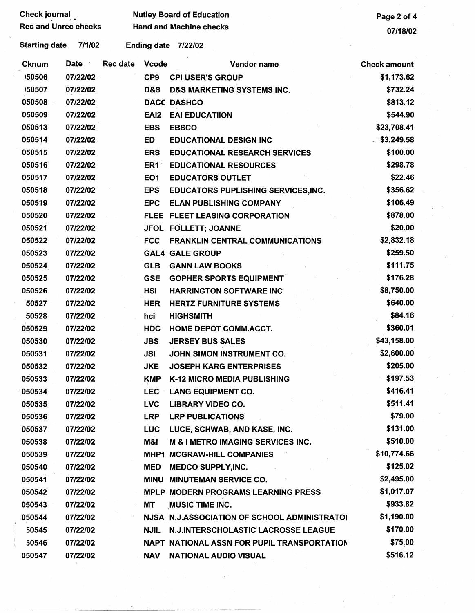| <b>Check journal</b>        |          | <b>Nutley Board of Education</b> |                    |                                              | Page 2 of 4         |  |
|-----------------------------|----------|----------------------------------|--------------------|----------------------------------------------|---------------------|--|
| <b>Rec and Unrec checks</b> |          | <b>Hand and Machine checks</b>   |                    |                                              | 07/18/02            |  |
| <b>Starting date</b>        | 7/1/02   |                                  | <b>Ending date</b> | 7/22/02                                      |                     |  |
| <b>Cknum</b>                | Date     | Rec date                         | <b>Vcode</b>       | Vendor name                                  | <b>Check amount</b> |  |
| 150506                      | 07/22/02 |                                  | CP <sub>9</sub>    | <b>CPI USER'S GROUP</b>                      | \$1,173.62          |  |
| 150507                      | 07/22/02 |                                  | D&S                | <b>D&amp;S MARKETING SYSTEMS INC.</b>        | \$732.24            |  |
| 050508                      | 07/22/02 |                                  |                    | <b>DACC DASHCO</b>                           | \$813.12            |  |
| 050509                      | 07/22/02 |                                  | EAI <sub>2</sub>   | <b>EAI EDUCATIION</b>                        | \$544.90            |  |
| 050513                      | 07/22/02 |                                  | <b>EBS</b>         | <b>EBSCO</b>                                 | \$23,708.41         |  |
| 050514                      | 07/22/02 |                                  | ED                 | <b>EDUCATIONAL DESIGN INC</b>                | \$3,249.58          |  |
| 050515                      | 07/22/02 |                                  | <b>ERS</b>         | <b>EDUCATIONAL RESEARCH SERVICES</b>         | \$100.00            |  |
| 050516                      | 07/22/02 |                                  | ER1                | <b>EDUCATIONAL RESOURCES</b>                 | \$298.78            |  |
| 050517                      | 07/22/02 |                                  | EO <sub>1</sub>    | <b>EDUCATORS OUTLET</b>                      | \$22.46             |  |
| 050518                      | 07/22/02 |                                  | <b>EPS</b>         | <b>EDUCATORS PUPLISHING SERVICES, INC.</b>   | \$356.62            |  |
| 050519                      | 07/22/02 |                                  | <b>EPC</b>         | <b>ELAN PUBLISHING COMPANY</b>               | \$106.49            |  |
| 050520                      | 07/22/02 |                                  |                    | FLEE FLEET LEASING CORPORATION               | \$878.00            |  |
| 050521                      | 07/22/02 |                                  |                    | JFOL FOLLETT; JOANNE                         | \$20.00             |  |
| 050522                      | 07/22/02 |                                  | <b>FCC</b>         | <b>FRANKLIN CENTRAL COMMUNICATIONS</b>       | \$2,832.18          |  |
| 050523                      | 07/22/02 |                                  |                    | <b>GAL4 GALE GROUP</b>                       | \$259.50            |  |
| 050524                      | 07/22/02 |                                  | <b>GLB</b>         | <b>GANN LAW BOOKS</b>                        | \$111.75            |  |
| 050525                      | 07/22/02 |                                  | <b>GSE</b>         | <b>GOPHER SPORTS EQUIPMENT</b>               | \$176.28            |  |
| 050526                      | 07/22/02 |                                  | <b>HSI</b>         | <b>HARRINGTON SOFTWARE INC</b>               | \$8,750.00          |  |
| 50527                       | 07/22/02 |                                  | <b>HER</b>         | <b>HERTZ FURNITURE SYSTEMS</b>               | \$640.00            |  |
| 50528                       | 07/22/02 |                                  | hci                | <b>HIGHSMITH</b>                             | \$84.16             |  |
| 050529                      | 07/22/02 |                                  | <b>HDC</b>         | <b>HOME DEPOT COMM.ACCT.</b>                 | \$360.01            |  |
| 050530                      | 07/22/02 |                                  | <b>JBS</b>         | <b>JERSEY BUS SALES</b>                      | \$43,158.00         |  |
| 050531                      | 07/22/02 |                                  | JSI                | JOHN SIMON INSTRUMENT CO.                    | \$2,600.00          |  |
| 050532                      | 07/22/02 |                                  | <b>JKE</b>         | <b>JOSEPH KARG ENTERPRISES</b>               | \$205.00            |  |
| 050533                      | 07/22/02 |                                  | <b>KMP</b>         | K-12 MICRO MEDIA PUBLISHING                  | \$197.53            |  |
| 050534                      | 07/22/02 |                                  | <b>LEC</b>         | <b>LANG EQUIPMENT CO.</b>                    | \$416.41            |  |
| 050535                      | 07/22/02 |                                  | <b>LVC</b>         | <b>LIBRARY VIDEO CO.</b>                     | \$511.41            |  |
| 050536                      | 07/22/02 |                                  | <b>LRP</b>         | <b>LRP PUBLICATIONS</b>                      | \$79.00             |  |
| 050537                      | 07/22/02 |                                  | <b>LUC</b>         | LUCE, SCHWAB, AND KASE, INC.                 | \$131.00            |  |
| 050538                      | 07/22/02 |                                  | M&I                | <b>M &amp; I METRO IMAGING SERVICES INC.</b> | \$510.00            |  |
| 050539                      | 07/22/02 |                                  |                    | <b>MHP1 MCGRAW-HILL COMPANIES</b>            | \$10,774.66         |  |
| 050540                      | 07/22/02 |                                  | <b>MED</b>         | <b>MEDCO SUPPLY, INC.</b>                    | \$125.02            |  |
| 050541                      | 07/22/02 |                                  | <b>MINU</b>        | <b>MINUTEMAN SERVICE CO.</b>                 | \$2,495.00          |  |
| 050542                      | 07/22/02 |                                  |                    | <b>MPLP MODERN PROGRAMS LEARNING PRESS</b>   | \$1,017.07          |  |
| 050543                      | 07/22/02 |                                  | MT                 | <b>MUSIC TIME INC.</b>                       | \$933.82            |  |
| 050544                      | 07/22/02 |                                  |                    | NJSA N.J.ASSOCIATION OF SCHOOL ADMINISTRATOI | \$1,190.00          |  |
| 50545                       | 07/22/02 |                                  | <b>NJIL</b>        | <b>N.J.INTERSCHOLASTIC LACROSSE LEAGUE</b>   | \$170.00            |  |
| 50546                       | 07/22/02 |                                  |                    | NAPT NATIONAL ASSN FOR PUPIL TRANSPORTATION  | \$75.00             |  |
| 050547                      | 07/22/02 |                                  | <b>NAV</b>         | <b>NATIONAL AUDIO VISUAL</b>                 | \$516.12            |  |

 $\mathcal{O}(\mathcal{O}_\mathcal{O})$ 

 $\sim$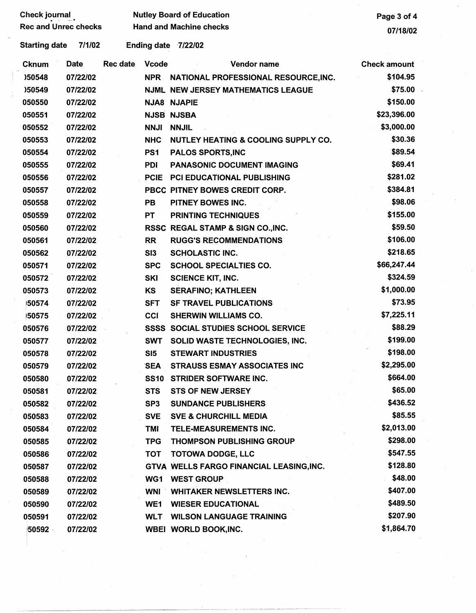| <b>Starting date</b> | 7/1/02      |                 |                 | Ending date 7/22/02                            |                     |
|----------------------|-------------|-----------------|-----------------|------------------------------------------------|---------------------|
| <b>Cknum</b>         | <b>Date</b> | <b>Rec date</b> | <b>Vcode</b>    | <b>Vendor name</b>                             | <b>Check amount</b> |
| )50548               | 07/22/02    |                 | <b>NPR</b>      | NATIONAL PROFESSIONAL RESOURCE, INC.           | \$104.95            |
| )50549               | 07/22/02    |                 |                 | <b>NJML NEW JERSEY MATHEMATICS LEAGUE</b>      | \$75.00             |
| 050550               | 07/22/02    |                 |                 | <b>NJA8 NJAPIE</b>                             | \$150.00            |
| 050551               | 07/22/02    |                 |                 | <b>NJSB NJSBA</b>                              | \$23,396.00         |
| 050552               | 07/22/02    |                 | <b>NNJI</b>     | <b>NNJIL</b>                                   | \$3,000.00          |
| 050553               | 07/22/02    |                 | <b>NHC</b>      | <b>NUTLEY HEATING &amp; COOLING SUPPLY CO.</b> | \$30.36             |
| 050554               | 07/22/02    |                 | PS <sub>1</sub> | <b>PALOS SPORTS, INC</b>                       | \$89.54             |
| 050555               | 07/22/02    |                 | <b>PDI</b>      | <b>PANASONIC DOCUMENT IMAGING</b>              | \$69.41             |
| 050556               | 07/22/02    |                 | <b>PCIE</b>     | PCI EDUCATIONAL PUBLISHING                     | \$281.02            |
| 050557               | 07/22/02    |                 |                 | PBCC PITNEY BOWES CREDIT CORP.                 | \$384.81            |
| 050558               | 07/22/02    |                 | <b>PB</b>       | PITNEY BOWES INC.                              | \$98.06             |
| 050559               | 07/22/02    |                 | <b>PT</b>       | <b>PRINTING TECHNIQUES</b>                     | \$155.00            |
| 050560               | 07/22/02    |                 |                 | RSSC REGAL STAMP & SIGN CO., INC.              | \$59.50             |
| 050561               | 07/22/02    |                 | <b>RR</b>       | <b>RUGG'S RECOMMENDATIONS</b>                  | \$106.00            |
| 050562               | 07/22/02    |                 | SI3             | <b>SCHOLASTIC INC.</b>                         | \$218.65            |
| 050571               | 07/22/02    |                 | <b>SPC</b>      | <b>SCHOOL SPECIALTIES CO.</b>                  | \$66,247.44         |
| 050572               | 07/22/02    |                 | SKI             | <b>SCIENCE KIT, INC.</b>                       | \$324.59            |
| 050573               | 07/22/02    |                 | <b>KS</b>       | <b>SERAFINO; KATHLEEN</b>                      | \$1,000.00          |
| 50574                | 07/22/02    |                 | <b>SFT</b>      | <b>SF TRAVEL PUBLICATIONS</b>                  | \$73.95             |
| 150575               | 07/22/02    |                 | <b>CCI</b>      | <b>SHERWIN WILLIAMS CO.</b>                    | \$7,225.11          |
| 050576               | 07/22/02    |                 |                 | <b>SSSS SOCIAL STUDIES SCHOOL SERVICE</b>      | \$88.29             |
| 050577               | 07/22/02    |                 | <b>SWT</b>      | SOLID WASTE TECHNOLOGIES, INC.                 | \$199.00            |
| 050578               | 07/22/02    |                 | SI5             | <b>STEWART INDUSTRIES</b>                      | \$198.00            |
| 050579               | 07/22/02    |                 | <b>SEA</b>      | <b>STRAUSS ESMAY ASSOCIATES INC</b>            | \$2,295.00          |
| 050580               | 07/22/02    |                 | <b>SS10</b>     | <b>STRIDER SOFTWARE INC.</b>                   | \$664.00            |
| 050581               | 07/22/02    |                 | <b>STS</b>      | <b>STS OF NEW JERSEY</b>                       | \$65.00             |
| 050582               | 07/22/02    |                 | SP <sub>3</sub> | <b>SUNDANCE PUBLISHERS</b>                     | \$436.52            |
| 050583               | 07/22/02    |                 | <b>SVE</b>      | <b>SVE &amp; CHURCHILL MEDIA</b>               | \$85.55             |
| 050584               | 07/22/02    |                 | <b>TMI</b>      | TELE-MEASUREMENTS INC.                         | \$2,013.00          |
| 050585               | 07/22/02    |                 | <b>TPG</b>      | <b>THOMPSON PUBLISHING GROUP</b>               | \$298.00            |
| 050586               | 07/22/02    |                 | <b>TOT</b>      | <b>TOTOWA DODGE, LLC</b>                       | \$547.55            |
| 050587               | 07/22/02    |                 |                 | GTVA WELLS FARGO FINANCIAL LEASING, INC.       | \$128.80            |
| 050588               | 07/22/02    |                 | WG1             | <b>WEST GROUP</b>                              | \$48.00             |
| 050589               | 07/22/02    |                 | <b>WNI</b>      | <b>WHITAKER NEWSLETTERS INC.</b>               | \$407.00            |
| 050590               | 07/22/02    |                 | WE1             | <b>WIESER EDUCATIONAL</b>                      | \$489.50            |
| 050591               | 07/22/02    |                 | <b>WLT</b>      | <b>WILSON LANGUAGE TRAINING</b>                | \$207.90            |
| 50592                | 07/22/02    |                 |                 | WBEI WORLD BOOK, INC.                          | \$1,864.70          |
|                      |             |                 |                 |                                                |                     |
|                      |             |                 |                 |                                                |                     |
|                      |             |                 |                 |                                                |                     |

 $\sim$   $\sim$